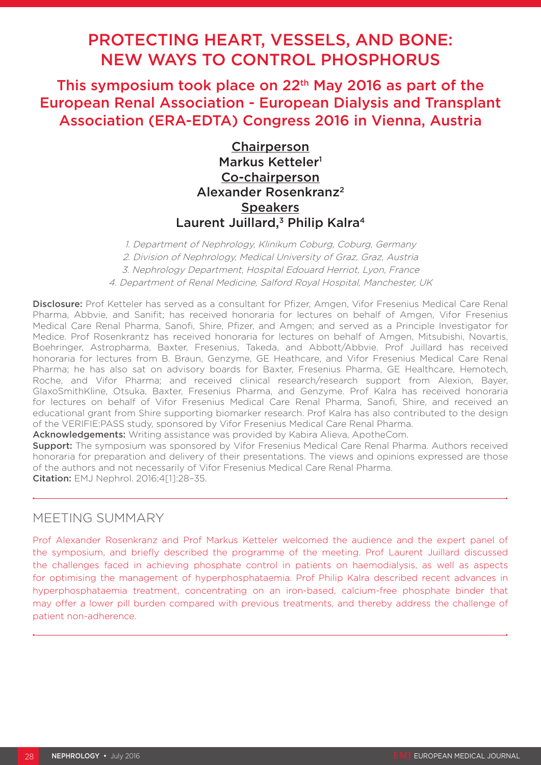# PROTECTING HEART, VESSELS, AND BONE: NEW WAYS TO CONTROL PHOSPHORUS

This symposium took place on 22<sup>th</sup> May 2016 as part of the European Renal Association - European Dialysis and Transplant Association (ERA-EDTA) Congress 2016 in Vienna, Austria

> **Chairperson** Markus Ketteler<sup>1</sup> Co-chairperson Alexander Rosenkranz2 **Speakers** Laurent Juillard,<sup>3</sup> Philip Kalra<sup>4</sup>

1. Department of Nephrology, Klinikum Coburg, Coburg, Germany 2. Division of Nephrology, Medical University of Graz, Graz, Austria 3. Nephrology Department, Hospital Edouard Herriot, Lyon, France 4. Department of Renal Medicine, Salford Royal Hospital, Manchester, UK

Disclosure: Prof Ketteler has served as a consultant for Pfizer, Amgen, Vifor Fresenius Medical Care Renal Pharma, Abbvie, and Sanifit; has received honoraria for lectures on behalf of Amgen, Vifor Fresenius Medical Care Renal Pharma, Sanofi, Shire, Pfizer, and Amgen; and served as a Principle Investigator for Medice. Prof Rosenkrantz has received honoraria for lectures on behalf of Amgen, Mitsubishi, Novartis, Boehringer, Astropharma, Baxter, Fresenius, Takeda, and Abbott/Abbvie. Prof Juillard has received honoraria for lectures from B. Braun, Genzyme, GE Heathcare, and Vifor Fresenius Medical Care Renal Pharma; he has also sat on advisory boards for Baxter, Fresenius Pharma, GE Healthcare, Hemotech, Roche, and Vifor Pharma; and received clinical research/research support from Alexion, Bayer, GlaxoSmithKline, Otsuka, Baxter, Fresenius Pharma, and Genzyme. Prof Kalra has received honoraria for lectures on behalf of Vifor Fresenius Medical Care Renal Pharma, Sanofi, Shire, and received an educational grant from Shire supporting biomarker research. Prof Kalra has also contributed to the design of the VERIFIE:PASS study, sponsored by Vifor Fresenius Medical Care Renal Pharma.

Acknowledgements: Writing assistance was provided by Kabira Alieva, ApotheCom.

**Support:** The symposium was sponsored by Vifor Fresenius Medical Care Renal Pharma. Authors received honoraria for preparation and delivery of their presentations. The views and opinions expressed are those of the authors and not necessarily of Vifor Fresenius Medical Care Renal Pharma. Citation: EMJ Nephrol. 2016;4[1]:28–35.

## MEETING SUMMARY

Prof Alexander Rosenkranz and Prof Markus Ketteler welcomed the audience and the expert panel of the symposium, and briefly described the programme of the meeting. Prof Laurent Juillard discussed the challenges faced in achieving phosphate control in patients on haemodialysis, as well as aspects for optimising the management of hyperphosphataemia. Prof Philip Kalra described recent advances in hyperphosphataemia treatment, concentrating on an iron-based, calcium-free phosphate binder that may offer a lower pill burden compared with previous treatments, and thereby address the challenge of patient non-adherence.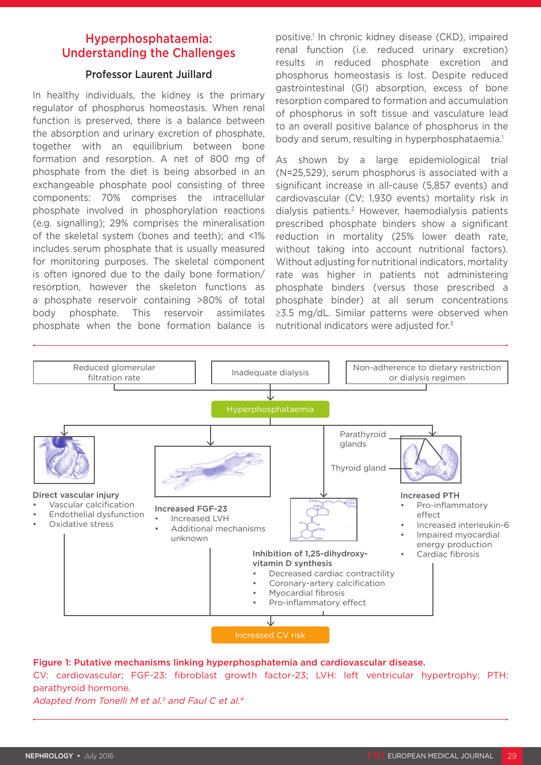## Hyperphosphataemia: Understanding the Challenges

### Professor Laurent Juillard

In healthy individuals, the kidney is the primary regulator of phosphorus homeostasis. When renal function is preserved, there is a balance between the absorption and urinary excretion of phosphate, together with an equilibrium between bone formation and resorption. A net of 800 mg of phosphate from the diet is being absorbed in an exchangeable phosphate pool consisting of three components: 70% comprises the intracellular phosphate involved in phosphorylation reactions (e.g. signalling); 29% comprises the mineralisation of the skeletal system (bones and teeth); and <1% includes serum phosphate that is usually measured for monitoring purposes. The skeletal component is often ignored due to the daily bone formation/ resorption, however the skeleton functions as a phosphate reservoir containing >80% of total body phosphate. This reservoir assimilates phosphate when the bone formation balance is positive.1 In chronic kidney disease (CKD), impaired renal function (i.e. reduced urinary excretion) results in reduced phosphate excretion and phosphorus homeostasis is lost. Despite reduced gastrointestinal (GI) absorption, excess of bone resorption compared to formation and accumulation of phosphorus in soft tissue and vasculature lead to an overall positive balance of phosphorus in the body and serum, resulting in hyperphosphataemia.<sup>1</sup>

As shown by a large epidemiological trial (N=25,529), serum phosphorus is associated with a significant increase in all-cause (5,857 events) and cardiovascular (CV; 1,930 events) mortality risk in dialysis patients.2 However, haemodialysis patients prescribed phosphate binders show a significant reduction in mortality (25% lower death rate, without taking into account nutritional factors). Without adjusting for nutritional indicators, mortality rate was higher in patients not administering phosphate binders (versus those prescribed a phosphate binder) at all serum concentrations ≥3.5 mg/dL. Similar patterns were observed when nutritional indicators were adjusted for.<sup>3</sup>



#### Figure 1: Putative mechanisms linking hyperphosphatemia and cardiovascular disease.

CV: cardiovascular; FGF-23: fibroblast growth factor-23; LVH: left ventricular hypertrophy; PTH: parathyroid hormone.

*Adapted from Tonelli M et al.5 and Faul C et al.4*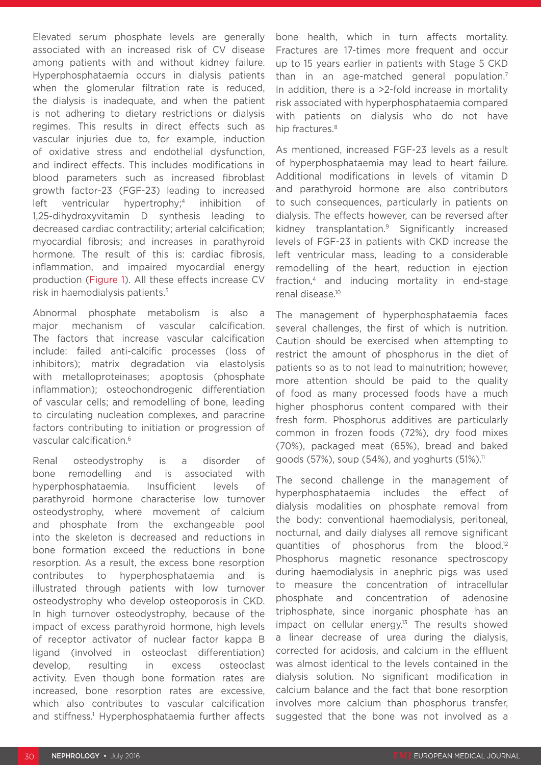Elevated serum phosphate levels are generally associated with an increased risk of CV disease among patients with and without kidney failure. Hyperphosphataemia occurs in dialysis patients when the glomerular filtration rate is reduced, the dialysis is inadequate, and when the patient is not adhering to dietary restrictions or dialysis regimes. This results in direct effects such as vascular injuries due to, for example, induction of oxidative stress and endothelial dysfunction, and indirect effects. This includes modifications in blood parameters such as increased fibroblast growth factor-23 (FGF-23) leading to increased left ventricular hypertrophy;<sup>4</sup> inhibition of 1,25-dihydroxyvitamin D synthesis leading to decreased cardiac contractility; arterial calcification; myocardial fibrosis; and increases in parathyroid hormone. The result of this is: cardiac fibrosis, inflammation, and impaired myocardial energy production (Figure 1). All these effects increase CV risk in haemodialysis patients.5

Abnormal phosphate metabolism is also a major mechanism of vascular calcification. The factors that increase vascular calcification include: failed anti-calcific processes (loss of inhibitors); matrix degradation via elastolysis with metalloproteinases; apoptosis (phosphate inflammation); osteochondrogenic differentiation of vascular cells; and remodelling of bone, leading to circulating nucleation complexes, and paracrine factors contributing to initiation or progression of vascular calcification.6

Renal osteodystrophy is a disorder of bone remodelling and is associated with hyperphosphataemia. Insufficient levels of parathyroid hormone characterise low turnover osteodystrophy, where movement of calcium and phosphate from the exchangeable pool into the skeleton is decreased and reductions in bone formation exceed the reductions in bone resorption. As a result, the excess bone resorption contributes to hyperphosphataemia and is illustrated through patients with low turnover osteodystrophy who develop osteoporosis in CKD. In high turnover osteodystrophy, because of the impact of excess parathyroid hormone, high levels of receptor activator of nuclear factor kappa B ligand (involved in osteoclast differentiation) develop, resulting in excess osteoclast activity. Even though bone formation rates are increased, bone resorption rates are excessive, which also contributes to vascular calcification and stiffness.<sup>1</sup> Hyperphosphataemia further affects

bone health, which in turn affects mortality. Fractures are 17-times more frequent and occur up to 15 years earlier in patients with Stage 5 CKD than in an age-matched general population.<sup>7</sup> In addition, there is a >2-fold increase in mortality risk associated with hyperphosphataemia compared with patients on dialysis who do not have hip fractures.<sup>8</sup>

As mentioned, increased FGF-23 levels as a result of hyperphosphataemia may lead to heart failure. Additional modifications in levels of vitamin D and parathyroid hormone are also contributors to such consequences, particularly in patients on dialysis. The effects however, can be reversed after kidney transplantation.9 Significantly increased levels of FGF-23 in patients with CKD increase the left ventricular mass, leading to a considerable remodelling of the heart, reduction in ejection fraction,4 and inducing mortality in end-stage renal disease.10

The management of hyperphosphataemia faces several challenges, the first of which is nutrition. Caution should be exercised when attempting to restrict the amount of phosphorus in the diet of patients so as to not lead to malnutrition; however, more attention should be paid to the quality of food as many processed foods have a much higher phosphorus content compared with their fresh form. Phosphorus additives are particularly common in frozen foods (72%), dry food mixes (70%), packaged meat (65%), bread and baked goods  $(57%)$ , soup  $(54%)$ , and yoghurts  $(51%)$ <sup>11</sup>

The second challenge in the management of hyperphosphataemia includes the effect of dialysis modalities on phosphate removal from the body: conventional haemodialysis, peritoneal, nocturnal, and daily dialyses all remove significant quantities of phosphorus from the blood.12 Phosphorus magnetic resonance spectroscopy during haemodialysis in anephric pigs was used to measure the concentration of intracellular phosphate and concentration of adenosine triphosphate, since inorganic phosphate has an impact on cellular energy.<sup>13</sup> The results showed a linear decrease of urea during the dialysis, corrected for acidosis, and calcium in the effluent was almost identical to the levels contained in the dialysis solution. No significant modification in calcium balance and the fact that bone resorption involves more calcium than phosphorus transfer, suggested that the bone was not involved as a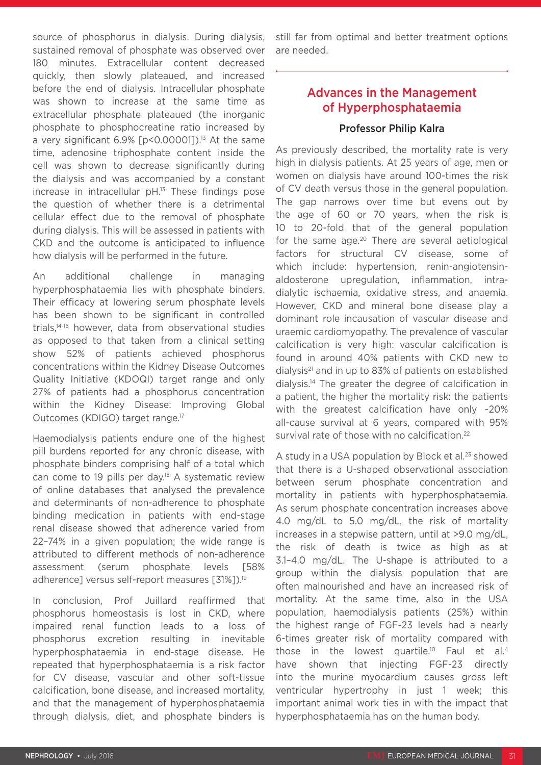source of phosphorus in dialysis. During dialysis, sustained removal of phosphate was observed over 180 minutes. Extracellular content decreased quickly, then slowly plateaued, and increased before the end of dialysis. Intracellular phosphate was shown to increase at the same time as extracellular phosphate plateaued (the inorganic phosphate to phosphocreatine ratio increased by a very significant  $6.9\%$  [p<0.00001]).<sup>13</sup> At the same time, adenosine triphosphate content inside the cell was shown to decrease significantly during the dialysis and was accompanied by a constant increase in intracellular pH.13 These findings pose the question of whether there is a detrimental cellular effect due to the removal of phosphate during dialysis. This will be assessed in patients with CKD and the outcome is anticipated to influence how dialysis will be performed in the future.

An additional challenge in managing hyperphosphataemia lies with phosphate binders. Their efficacy at lowering serum phosphate levels has been shown to be significant in controlled trials,14-16 however, data from observational studies as opposed to that taken from a clinical setting show 52% of patients achieved phosphorus concentrations within the Kidney Disease Outcomes Quality Initiative (KDOQI) target range and only 27% of patients had a phosphorus concentration within the Kidney Disease: Improving Global Outcomes (KDIGO) target range.17

Haemodialysis patients endure one of the highest pill burdens reported for any chronic disease, with phosphate binders comprising half of a total which can come to 19 pills per day.18 A systematic review of online databases that analysed the prevalence and determinants of non-adherence to phosphate binding medication in patients with end-stage renal disease showed that adherence varied from 22–74% in a given population; the wide range is attributed to different methods of non-adherence assessment (serum phosphate levels [58% adherence] versus self-report measures [31%]).<sup>19</sup>

In conclusion, Prof Juillard reaffirmed that phosphorus homeostasis is lost in CKD, where impaired renal function leads to a loss of phosphorus excretion resulting in inevitable hyperphosphataemia in end-stage disease. He repeated that hyperphosphataemia is a risk factor for CV disease, vascular and other soft-tissue calcification, bone disease, and increased mortality, and that the management of hyperphosphataemia through dialysis, diet, and phosphate binders is

still far from optimal and better treatment options are needed.

# Advances in the Management of Hyperphosphataemia

### Professor Philip Kalra

As previously described, the mortality rate is very high in dialysis patients. At 25 years of age, men or women on dialysis have around 100-times the risk of CV death versus those in the general population. The gap narrows over time but evens out by the age of 60 or 70 years, when the risk is 10 to 20-fold that of the general population for the same age. $20$  There are several aetiological factors for structural CV disease, some of which include: hypertension, renin-angiotensinaldosterone upregulation, inflammation, intradialytic ischaemia, oxidative stress, and anaemia. However, CKD and mineral bone disease play a dominant role incausation of vascular disease and uraemic cardiomyopathy. The prevalence of vascular calcification is very high: vascular calcification is found in around 40% patients with CKD new to dialysis<sup>21</sup> and in up to 83% of patients on established dialysis.14 The greater the degree of calcification in a patient, the higher the mortality risk: the patients with the greatest calcification have only ~20% all-cause survival at 6 years, compared with 95% survival rate of those with no calcification.<sup>22</sup>

A study in a USA population by Block et al. $23$  showed that there is a U-shaped observational association between serum phosphate concentration and mortality in patients with hyperphosphataemia. As serum phosphate concentration increases above 4.0 mg/dL to 5.0 mg/dL, the risk of mortality increases in a stepwise pattern, until at >9.0 mg/dL, the risk of death is twice as high as at 3.1–4.0 mg/dL. The U-shape is attributed to a group within the dialysis population that are often malnourished and have an increased risk of mortality. At the same time, also in the USA population, haemodialysis patients (25%) within the highest range of FGF-23 levels had a nearly 6-times greater risk of mortality compared with those in the lowest quartile.<sup>10</sup> Faul et al.<sup>4</sup> have shown that injecting FGF-23 directly into the murine myocardium causes gross left ventricular hypertrophy in just 1 week; this important animal work ties in with the impact that hyperphosphataemia has on the human body.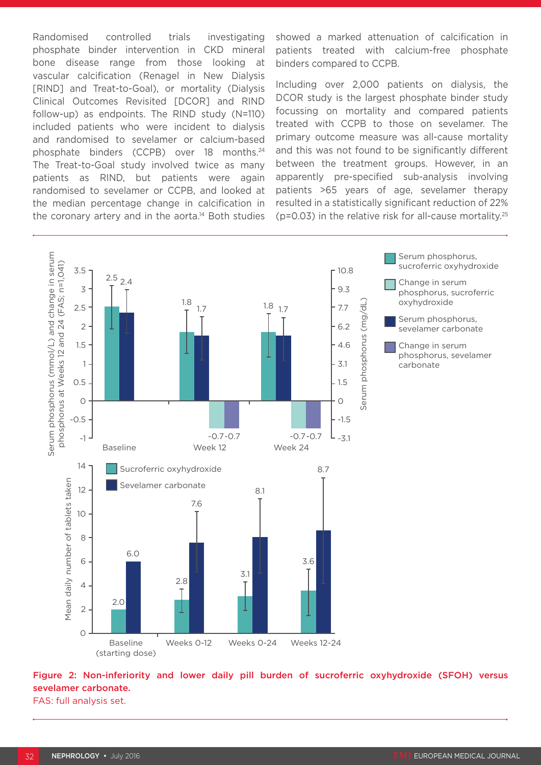Randomised controlled trials investigating phosphate binder intervention in CKD mineral bone disease range from those looking at vascular calcification (Renagel in New Dialysis [RIND] and Treat-to-Goal), or mortality (Dialysis Clinical Outcomes Revisited [DCOR] and RIND follow-up) as endpoints. The RIND study (N=110) included patients who were incident to dialysis and randomised to sevelamer or calcium-based phosphate binders (CCPB) over 18 months.24 The Treat-to-Goal study involved twice as many patients as RIND, but patients were again randomised to sevelamer or CCPB, and looked at the median percentage change in calcification in the coronary artery and in the aorta.<sup>14</sup> Both studies showed a marked attenuation of calcification in patients treated with calcium-free phosphate binders compared to CCPB.

Including over 2,000 patients on dialysis, the DCOR study is the largest phosphate binder study focussing on mortality and compared patients treated with CCPB to those on sevelamer. The primary outcome measure was all-cause mortality and this was not found to be significantly different between the treatment groups. However, in an apparently pre-specified sub-analysis involving patients >65 years of age, sevelamer therapy resulted in a statistically significant reduction of 22% ( $p=0.03$ ) in the relative risk for all-cause mortality.<sup>25</sup>



Figure 2: Non-inferiority and lower daily pill burden of sucroferric oxyhydroxide (SFOH) versus sevelamer carbonate.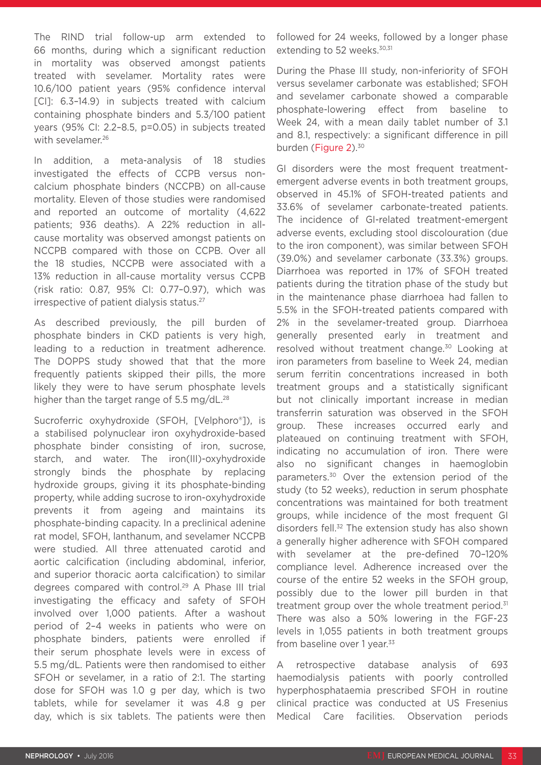The RIND trial follow-up arm extended to 66 months, during which a significant reduction in mortality was observed amongst patients treated with sevelamer. Mortality rates were 10.6/100 patient years (95% confidence interval [CI]: 6.3–14.9) in subjects treated with calcium containing phosphate binders and 5.3/100 patient years (95% CI: 2.2–8.5, p=0.05) in subjects treated with sevelamer.<sup>26</sup>

In addition, a meta-analysis of 18 studies investigated the effects of CCPB versus noncalcium phosphate binders (NCCPB) on all-cause mortality. Eleven of those studies were randomised and reported an outcome of mortality (4,622 patients; 936 deaths). A 22% reduction in allcause mortality was observed amongst patients on NCCPB compared with those on CCPB. Over all the 18 studies, NCCPB were associated with a 13% reduction in all-cause mortality versus CCPB (risk ratio: 0.87, 95% CI: 0.77–0.97), which was irrespective of patient dialysis status.<sup>27</sup>

As described previously, the pill burden of phosphate binders in CKD patients is very high, leading to a reduction in treatment adherence. The DOPPS study showed that that the more frequently patients skipped their pills, the more likely they were to have serum phosphate levels higher than the target range of 5.5 mg/dL.<sup>28</sup>

Sucroferric oxyhydroxide (SFOH, [Velphoro®]), is a stabilised polynuclear iron oxyhydroxide-based phosphate binder consisting of iron, sucrose, starch, and water. The iron(III)-oxyhydroxide strongly binds the phosphate by replacing hydroxide groups, giving it its phosphate-binding property, while adding sucrose to iron-oxyhydroxide prevents it from ageing and maintains its phosphate-binding capacity. In a preclinical adenine rat model, SFOH, lanthanum, and sevelamer NCCPB were studied. All three attenuated carotid and aortic calcification (including abdominal, inferior, and superior thoracic aorta calcification) to similar degrees compared with control.29 A Phase III trial investigating the efficacy and safety of SFOH involved over 1,000 patients. After a washout period of 2–4 weeks in patients who were on phosphate binders, patients were enrolled if their serum phosphate levels were in excess of 5.5 mg/dL. Patients were then randomised to either SFOH or sevelamer, in a ratio of 2:1. The starting dose for SFOH was 1.0 g per day, which is two tablets, while for sevelamer it was 4.8 g per day, which is six tablets. The patients were then

followed for 24 weeks, followed by a longer phase extending to 52 weeks.<sup>30,31</sup>

During the Phase III study, non-inferiority of SFOH versus sevelamer carbonate was established; SFOH and sevelamer carbonate showed a comparable phosphate-lowering effect from baseline to Week 24, with a mean daily tablet number of 3.1 and 8.1, respectively: a significant difference in pill burden (Figure 2).<sup>30</sup>

GI disorders were the most frequent treatmentemergent adverse events in both treatment groups, observed in 45.1% of SFOH-treated patients and 33.6% of sevelamer carbonate-treated patients. The incidence of GI-related treatment-emergent adverse events, excluding stool discolouration (due to the iron component), was similar between SFOH (39.0%) and sevelamer carbonate (33.3%) groups. Diarrhoea was reported in 17% of SFOH treated patients during the titration phase of the study but in the maintenance phase diarrhoea had fallen to 5.5% in the SFOH-treated patients compared with 2% in the sevelamer-treated group. Diarrhoea generally presented early in treatment and resolved without treatment change.30 Looking at iron parameters from baseline to Week 24, median serum ferritin concentrations increased in both treatment groups and a statistically significant but not clinically important increase in median transferrin saturation was observed in the SFOH group. These increases occurred early and plateaued on continuing treatment with SFOH, indicating no accumulation of iron. There were also no significant changes in haemoglobin parameters.30 Over the extension period of the study (to 52 weeks), reduction in serum phosphate concentrations was maintained for both treatment groups, while incidence of the most frequent GI disorders fell.<sup>32</sup> The extension study has also shown a generally higher adherence with SFOH compared with sevelamer at the pre-defined 70–120% compliance level. Adherence increased over the course of the entire 52 weeks in the SFOH group, possibly due to the lower pill burden in that treatment group over the whole treatment period.<sup>31</sup> There was also a 50% lowering in the FGF-23 levels in 1,055 patients in both treatment groups from baseline over 1 year.<sup>33</sup>

A retrospective database analysis of 693 haemodialysis patients with poorly controlled hyperphosphataemia prescribed SFOH in routine clinical practice was conducted at US Fresenius Medical Care facilities. Observation periods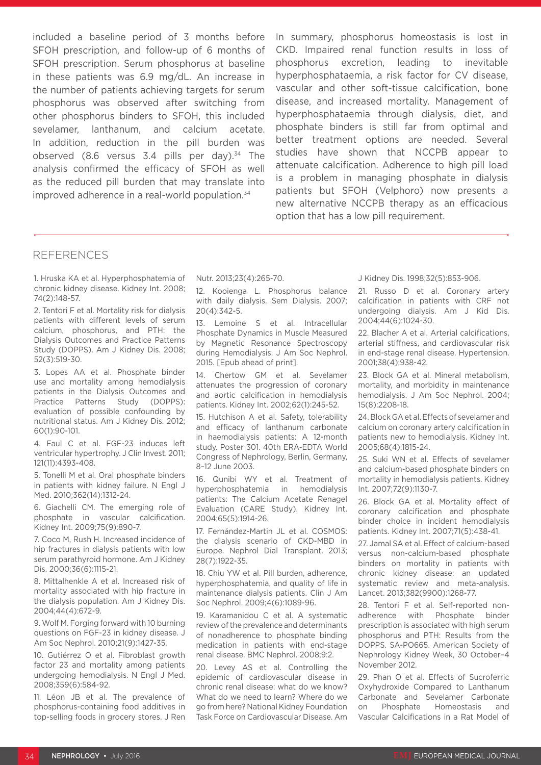included a baseline period of 3 months before SFOH prescription, and follow-up of 6 months of SFOH prescription. Serum phosphorus at baseline in these patients was 6.9 mg/dL. An increase in the number of patients achieving targets for serum phosphorus was observed after switching from other phosphorus binders to SFOH, this included sevelamer, lanthanum, and calcium acetate. In addition, reduction in the pill burden was observed (8.6 versus  $3.4$  pills per day).<sup>34</sup> The analysis confirmed the efficacy of SFOH as well as the reduced pill burden that may translate into improved adherence in a real-world population.<sup>34</sup>

In summary, phosphorus homeostasis is lost in CKD. Impaired renal function results in loss of phosphorus excretion, leading to inevitable hyperphosphataemia, a risk factor for CV disease, vascular and other soft-tissue calcification, bone disease, and increased mortality. Management of hyperphosphataemia through dialysis, diet, and phosphate binders is still far from optimal and better treatment options are needed. Several studies have shown that NCCPB appear to attenuate calcification. Adherence to high pill load is a problem in managing phosphate in dialysis patients but SFOH (Velphoro) now presents a new alternative NCCPB therapy as an efficacious option that has a low pill requirement.

#### REFERENCES

1. Hruska KA et al. Hyperphosphatemia of chronic kidney disease. Kidney Int. 2008; 74(2):148-57.

2. Tentori F et al. Mortality risk for dialysis patients with different levels of serum calcium, phosphorus, and PTH: the Dialysis Outcomes and Practice Patterns Study (DOPPS). Am J Kidney Dis. 2008; 52(3):519-30.

3. Lopes AA et al. Phosphate binder use and mortality among hemodialysis patients in the Dialysis Outcomes and Practice Patterns Study (DOPPS): evaluation of possible confounding by nutritional status. Am J Kidney Dis. 2012; 60(1):90-101.

4. Faul C et al. FGF-23 induces left ventricular hypertrophy. J Clin Invest. 2011; 121(11):4393-408.

5. Tonelli M et al. Oral phosphate binders in patients with kidney failure. N Engl J Med. 2010;362(14):1312-24.

6. Giachelli CM. The emerging role of phosphate in vascular calcification. Kidney Int. 2009;75(9):890-7.

7. Coco M, Rush H. Increased incidence of hip fractures in dialysis patients with low serum parathyroid hormone. Am J Kidney Dis. 2000;36(6):1115-21.

8. Mittalhenkle A et al. Increased risk of mortality associated with hip fracture in the dialysis population. Am J Kidney Dis. 2004;44(4):672-9.

9. Wolf M. Forging forward with 10 burning questions on FGF-23 in kidney disease. J Am Soc Nephrol. 2010;21(9):1427-35.

10. Gutiérrez O et al. Fibroblast growth factor 23 and mortality among patients undergoing hemodialysis. N Engl J Med. 2008;359(6):584-92.

11. Léon JB et al. The prevalence of phosphorus-containing food additives in top-selling foods in grocery stores. J Ren

Nutr. 2013;23(4):265-70.

12. Kooienga L. Phosphorus balance with daily dialysis. Sem Dialysis. 2007; 20(4):342-5.

13. Lemoine S et al. Intracellular Phosphate Dynamics in Muscle Measured by Magnetic Resonance Spectroscopy during Hemodialysis. J Am Soc Nephrol. 2015. [Epub ahead of print].

14. Chertow GM et al. Sevelamer attenuates the progression of coronary and aortic calcification in hemodialysis patients. Kidney Int. 2002;62(1):245-52.

15. Hutchison A et al. Safety, tolerability and efficacy of lanthanum carbonate in haemodialysis patients: A 12-month study. Poster 301. 40th ERA-EDTA World Congress of Nephrology, Berlin, Germany, 8–12 June 2003.

16. Qunibi WY et al. Treatment of hyperphosphatemia in hemodialysis patients: The Calcium Acetate Renagel Evaluation (CARE Study). Kidney Int. 2004;65(5):1914-26.

17. Fernández-Martin JL et al. COSMOS: the dialysis scenario of CKD-MBD in Europe. Nephrol Dial Transplant. 2013; 28(7):1922-35.

18. Chiu YW et al. Pill burden, adherence, hyperphosphatemia, and quality of life in maintenance dialysis patients. Clin J Am Soc Nephrol. 2009;4(6):1089-96.

19. Karamanidou C et al. A systematic review of the prevalence and determinants of nonadherence to phosphate binding medication in patients with end-stage renal disease. BMC Nephrol. 2008;9:2.

20. Levey AS et al. Controlling the epidemic of cardiovascular disease in chronic renal disease: what do we know? What do we need to learn? Where do we go from here? National Kidney Foundation Task Force on Cardiovascular Disease. Am

J Kidney Dis. 1998;32(5):853-906.

21. Russo D et al. Coronary artery calcification in patients with CRF not undergoing dialysis. Am J Kid Dis. 2004;44(6):1024-30.

22. Blacher A et al. Arterial calcifications, arterial stiffness, and cardiovascular risk in end-stage renal disease. Hypertension. 2001;38(4);938-42.

23. Block GA et al. Mineral metabolism, mortality, and morbidity in maintenance hemodialysis. J Am Soc Nephrol. 2004; 15(8):2208-18.

24. Block GA et al. Effects of sevelamer and calcium on coronary artery calcification in patients new to hemodialysis. Kidney Int. 2005;68(4):1815-24.

25. Suki WN et al. Effects of sevelamer and calcium-based phosphate binders on mortality in hemodialysis patients. Kidney Int. 2007;72(9):1130-7.

26. Block GA et al. Mortality effect of coronary calcification and phosphate binder choice in incident hemodialysis patients. Kidney Int. 2007;71(5):438-41.

27. Jamal SA et al. Effect of calcium-based versus non-calcium-based phosphate binders on mortality in patients with chronic kidney disease: an updated systematic review and meta-analysis. Lancet. 2013;382(9900):1268-77.

28. Tentori F et al. Self-reported nonadherence with Phosphate binder prescription is associated with high serum phosphorus and PTH: Results from the DOPPS. SA-PO665. American Society of Nephrology Kidney Week, 30 October–4 November 2012.

29. Phan O et al. Effects of Sucroferric Oxyhydroxide Compared to Lanthanum Carbonate and Sevelamer Carbonate on Phosphate Homeostasis and Vascular Calcifications in a Rat Model of